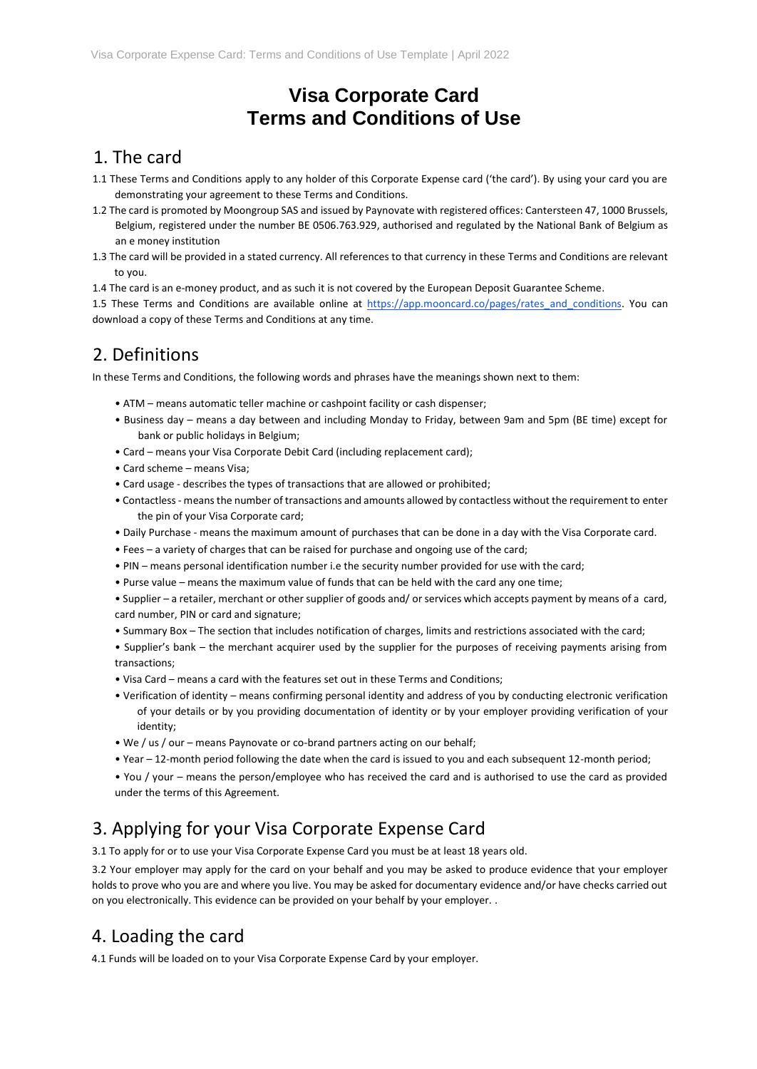# **Visa Corporate Card Terms and Conditions of Use**

#### 1. The card

- 1.1 These Terms and Conditions apply to any holder of this Corporate Expense card ('the card'). By using your card you are demonstrating your agreement to these Terms and Conditions.
- 1.2 The card is promoted by Moongroup SAS and issued by Paynovate with registered offices: Cantersteen 47, 1000 Brussels, Belgium, registered under the number BE 0506.763.929, authorised and regulated by the National Bank of Belgium as an e money institution
- 1.3 The card will be provided in a stated currency. All references to that currency in these Terms and Conditions are relevant to you.
- 1.4 The card is an e-money product, and as such it is not covered by the European Deposit Guarantee Scheme.

1.5 These Terms and Conditions are available online at https://app.mooncard.co/pages/rates and conditions. You can download a copy of these Terms and Conditions at any time.

## 2. Definitions

In these Terms and Conditions, the following words and phrases have the meanings shown next to them:

- ATM means automatic teller machine or cashpoint facility or cash dispenser;
- Business day means a day between and including Monday to Friday, between 9am and 5pm (BE time) except for bank or public holidays in Belgium;
- Card means your Visa Corporate Debit Card (including replacement card);
- Card scheme means Visa;
- Card usage describes the types of transactions that are allowed or prohibited;
- Contactless- means the number of transactions and amounts allowed by contactless without the requirement to enter the pin of your Visa Corporate card;
- Daily Purchase means the maximum amount of purchases that can be done in a day with the Visa Corporate card.
- Fees a variety of charges that can be raised for purchase and ongoing use of the card;
- PIN means personal identification number i.e the security number provided for use with the card;
- Purse value means the maximum value of funds that can be held with the card any one time;
- Supplier a retailer, merchant or other supplier of goods and/ or services which accepts payment by means of a card, card number, PIN or card and signature;
- Summary Box The section that includes notification of charges, limits and restrictions associated with the card;
- Supplier's bank the merchant acquirer used by the supplier for the purposes of receiving payments arising from transactions;
- Visa Card means a card with the features set out in these Terms and Conditions;
- Verification of identity means confirming personal identity and address of you by conducting electronic verification of your details or by you providing documentation of identity or by your employer providing verification of your identity;
- We / us / our means Paynovate or co-brand partners acting on our behalf;
- Year 12-month period following the date when the card is issued to you and each subsequent 12-month period;
- You / your means the person/employee who has received the card and is authorised to use the card as provided under the terms of this Agreement.

# 3. Applying for your Visa Corporate Expense Card

3.1 To apply for or to use your Visa Corporate Expense Card you must be at least 18 years old.

3.2 Your employer may apply for the card on your behalf and you may be asked to produce evidence that your employer holds to prove who you are and where you live. You may be asked for documentary evidence and/or have checks carried out on you electronically. This evidence can be provided on your behalf by your employer. .

# 4. Loading the card

4.1 Funds will be loaded on to your Visa Corporate Expense Card by your employer.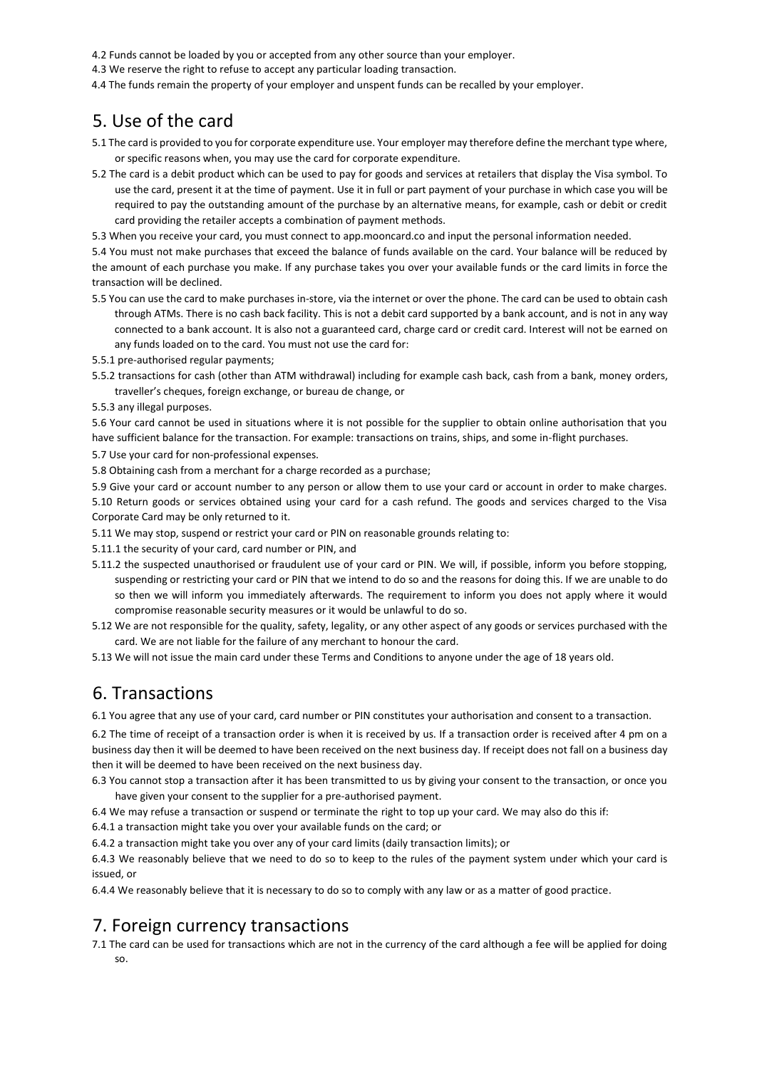4.2 Funds cannot be loaded by you or accepted from any other source than your employer.

4.3 We reserve the right to refuse to accept any particular loading transaction.

4.4 The funds remain the property of your employer and unspent funds can be recalled by your employer.

#### 5. Use of the card

- 5.1 The card is provided to you for corporate expenditure use. Your employer may therefore define the merchant type where, or specific reasons when, you may use the card for corporate expenditure.
- 5.2 The card is a debit product which can be used to pay for goods and services at retailers that display the Visa symbol. To use the card, present it at the time of payment. Use it in full or part payment of your purchase in which case you will be required to pay the outstanding amount of the purchase by an alternative means, for example, cash or debit or credit card providing the retailer accepts a combination of payment methods.

5.3 When you receive your card, you must connect to app.mooncard.co and input the personal information needed.

5.4 You must not make purchases that exceed the balance of funds available on the card. Your balance will be reduced by the amount of each purchase you make. If any purchase takes you over your available funds or the card limits in force the transaction will be declined.

- 5.5 You can use the card to make purchases in-store, via the internet or over the phone. The card can be used to obtain cash through ATMs. There is no cash back facility. This is not a debit card supported by a bank account, and is not in any way connected to a bank account. It is also not a guaranteed card, charge card or credit card. Interest will not be earned on any funds loaded on to the card. You must not use the card for:
- 5.5.1 pre-authorised regular payments;
- 5.5.2 transactions for cash (other than ATM withdrawal) including for example cash back, cash from a bank, money orders, traveller's cheques, foreign exchange, or bureau de change, or
- 5.5.3 any illegal purposes.

5.6 Your card cannot be used in situations where it is not possible for the supplier to obtain online authorisation that you have sufficient balance for the transaction. For example: transactions on trains, ships, and some in-flight purchases.

5.7 Use your card for non-professional expenses.

5.8 Obtaining cash from a merchant for a charge recorded as a purchase;

5.9 Give your card or account number to any person or allow them to use your card or account in order to make charges. 5.10 Return goods or services obtained using your card for a cash refund. The goods and services charged to the Visa Corporate Card may be only returned to it.

5.11 We may stop, suspend or restrict your card or PIN on reasonable grounds relating to:

5.11.1 the security of your card, card number or PIN, and

- 5.11.2 the suspected unauthorised or fraudulent use of your card or PIN. We will, if possible, inform you before stopping, suspending or restricting your card or PIN that we intend to do so and the reasons for doing this. If we are unable to do so then we will inform you immediately afterwards. The requirement to inform you does not apply where it would compromise reasonable security measures or it would be unlawful to do so.
- 5.12 We are not responsible for the quality, safety, legality, or any other aspect of any goods or services purchased with the card. We are not liable for the failure of any merchant to honour the card.

5.13 We will not issue the main card under these Terms and Conditions to anyone under the age of 18 years old.

#### 6. Transactions

6.1 You agree that any use of your card, card number or PIN constitutes your authorisation and consent to a transaction.

6.2 The time of receipt of a transaction order is when it is received by us. If a transaction order is received after 4 pm on a business day then it will be deemed to have been received on the next business day. If receipt does not fall on a business day then it will be deemed to have been received on the next business day.

6.3 You cannot stop a transaction after it has been transmitted to us by giving your consent to the transaction, or once you have given your consent to the supplier for a pre-authorised payment.

6.4 We may refuse a transaction or suspend or terminate the right to top up your card. We may also do this if:

6.4.1 a transaction might take you over your available funds on the card; or

6.4.2 a transaction might take you over any of your card limits (daily transaction limits); or

6.4.3 We reasonably believe that we need to do so to keep to the rules of the payment system under which your card is issued, or

6.4.4 We reasonably believe that it is necessary to do so to comply with any law or as a matter of good practice.

### 7. Foreign currency transactions

7.1 The card can be used for transactions which are not in the currency of the card although a fee will be applied for doing so.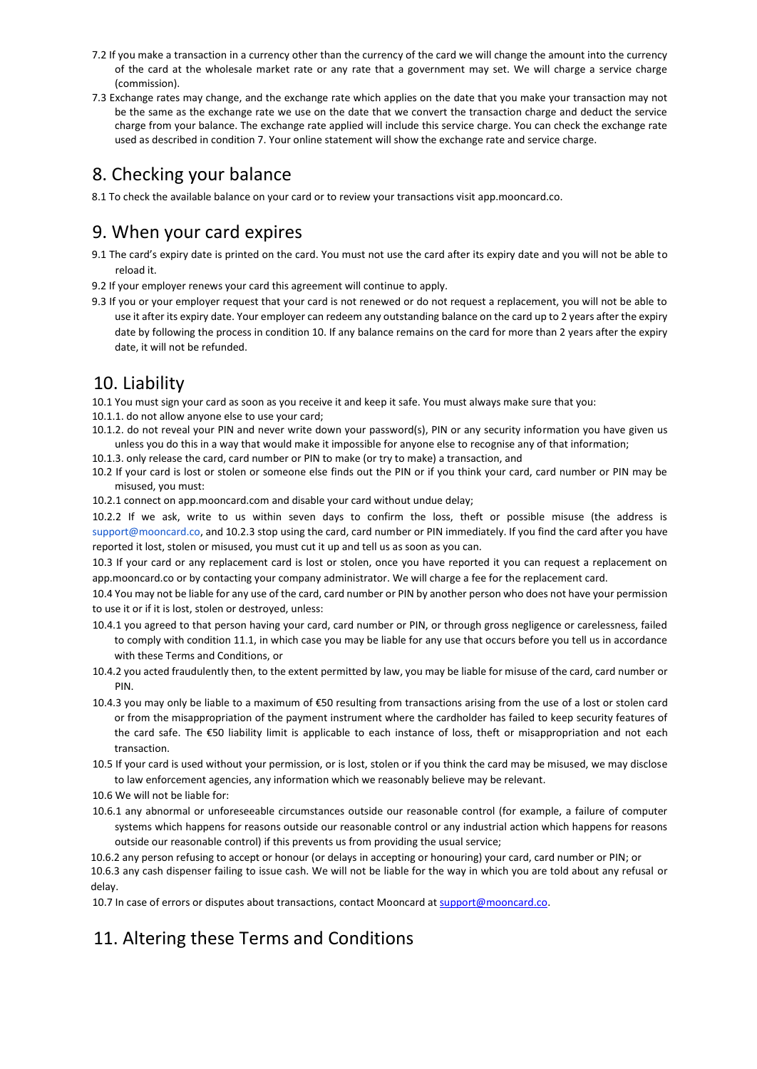- 7.2 If you make a transaction in a currency other than the currency of the card we will change the amount into the currency of the card at the wholesale market rate or any rate that a government may set. We will charge a service charge (commission).
- 7.3 Exchange rates may change, and the exchange rate which applies on the date that you make your transaction may not be the same as the exchange rate we use on the date that we convert the transaction charge and deduct the service charge from your balance. The exchange rate applied will include this service charge. You can check the exchange rate used as described in condition 7. Your online statement will show the exchange rate and service charge.

### 8. Checking your balance

8.1 To check the available balance on your card or to review your transactions visit app.mooncard.co.

### 9. When your card expires

- 9.1 The card's expiry date is printed on the card. You must not use the card after its expiry date and you will not be able to reload it.
- 9.2 If your employer renews your card this agreement will continue to apply.
- 9.3 If you or your employer request that your card is not renewed or do not request a replacement, you will not be able to use it after its expiry date. Your employer can redeem any outstanding balance on the card up to 2 years after the expiry date by following the process in condition 10. If any balance remains on the card for more than 2 years after the expiry date, it will not be refunded.

#### 10. Liability

10.1 You must sign your card as soon as you receive it and keep it safe. You must always make sure that you: 10.1.1. do not allow anyone else to use your card;

- 10.1.2. do not reveal your PIN and never write down your password(s), PIN or any security information you have given us unless you do this in a way that would make it impossible for anyone else to recognise any of that information;
- 10.1.3. only release the card, card number or PIN to make (or try to make) a transaction, and
- 10.2 If your card is lost or stolen or someone else finds out the PIN or if you think your card, card number or PIN may be misused, you must:
- 10.2.1 connect on app.mooncard.com and disable your card without undue delay;

10.2.2 If we ask, write to us within seven days to confirm the loss, theft or possible misuse (the address is [support@mooncard.co,](mailto:support@mooncard.co) and 10.2.3 stop using the card, card number or PIN immediately. If you find the card after you have reported it lost, stolen or misused, you must cut it up and tell us as soon as you can.

10.3 If your card or any replacement card is lost or stolen, once you have reported it you can request a replacement on app.mooncard.co or by contacting your company administrator. We will charge a fee for the replacement card.

10.4 You may not be liable for any use of the card, card number or PIN by another person who does not have your permission to use it or if it is lost, stolen or destroyed, unless:

- 10.4.1 you agreed to that person having your card, card number or PIN, or through gross negligence or carelessness, failed to comply with condition 11.1, in which case you may be liable for any use that occurs before you tell us in accordance with these Terms and Conditions, or
- 10.4.2 you acted fraudulently then, to the extent permitted by law, you may be liable for misuse of the card, card number or PIN.
- 10.4.3 you may only be liable to a maximum of €50 resulting from transactions arising from the use of a lost or stolen card or from the misappropriation of the payment instrument where the cardholder has failed to keep security features of the card safe. The €50 liability limit is applicable to each instance of loss, theft or misappropriation and not each transaction.
- 10.5 If your card is used without your permission, or is lost, stolen or if you think the card may be misused, we may disclose to law enforcement agencies, any information which we reasonably believe may be relevant.
- 10.6 We will not be liable for:
- 10.6.1 any abnormal or unforeseeable circumstances outside our reasonable control (for example, a failure of computer systems which happens for reasons outside our reasonable control or any industrial action which happens for reasons outside our reasonable control) if this prevents us from providing the usual service;
- 10.6.2 any person refusing to accept or honour (or delays in accepting or honouring) your card, card number or PIN; or

10.6.3 any cash dispenser failing to issue cash. We will not be liable for the way in which you are told about any refusal or delay.

10.7 In case of errors or disputes about transactions, contact Mooncard at [support@mooncard.co.](mailto:support@mooncard.co)

# 11. Altering these Terms and Conditions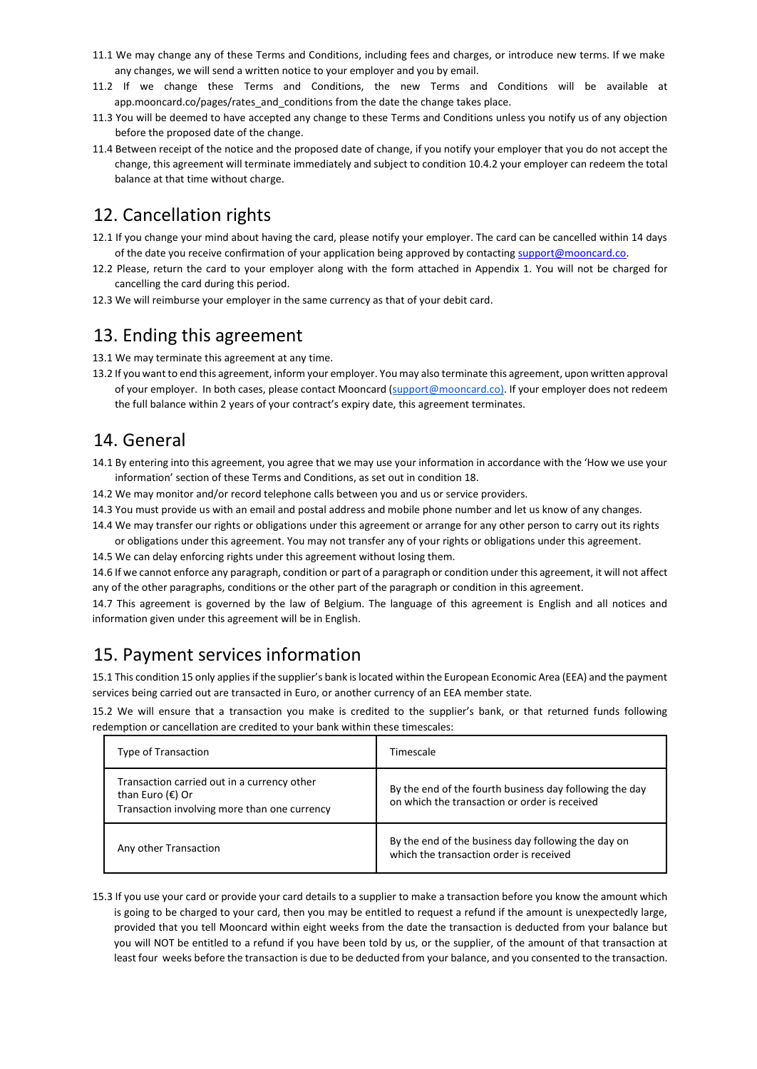- 11.1 We may change any of these Terms and Conditions, including fees and charges, or introduce new terms. If we make any changes, we will send a written notice to your employer and you by email.
- 11.2 If we change these Terms and Conditions, the new Terms and Conditions will be available at app.mooncard.co/pages/rates\_and\_conditions from the date the change takes place.
- 11.3 You will be deemed to have accepted any change to these Terms and Conditions unless you notify us of any objection before the proposed date of the change.
- 11.4 Between receipt of the notice and the proposed date of change, if you notify your employer that you do not accept the change, this agreement will terminate immediately and subject to condition 10.4.2 your employer can redeem the total balance at that time without charge.

## 12. Cancellation rights

- 12.1 If you change your mind about having the card, please notify your employer. The card can be cancelled within 14 days of the date you receive confirmation of your application being approved by contactin[g support@mooncard.co.](mailto:support@mooncard.co)
- 12.2 Please, return the card to your employer along with the form attached in Appendix 1. You will not be charged for cancelling the card during this period.
- 12.3 We will reimburse your employer in the same currency as that of your debit card.

#### 13. Ending this agreement

13.1 We may terminate this agreement at any time.

13.2 If you want to end this agreement, inform your employer. You may also terminate this agreement, upon written approval of your employer. In both cases, please contact Mooncard (support@mooncard.co). If your employer does not redeem the full balance within 2 years of your contract's expiry date, this agreement terminates.

### 14. General

- 14.1 By entering into this agreement, you agree that we may use your information in accordance with the 'How we use your information' section of these Terms and Conditions, as set out in condition 18.
- 14.2 We may monitor and/or record telephone calls between you and us or service providers.
- 14.3 You must provide us with an email and postal address and mobile phone number and let us know of any changes.
- 14.4 We may transfer our rights or obligations under this agreement or arrange for any other person to carry out its rights
- or obligations under this agreement. You may not transfer any of your rights or obligations under this agreement. 14.5 We can delay enforcing rights under this agreement without losing them.

14.6 If we cannot enforce any paragraph, condition or part of a paragraph or condition under this agreement, it will not affect any of the other paragraphs, conditions or the other part of the paragraph or condition in this agreement.

14.7 This agreement is governed by the law of Belgium. The language of this agreement is English and all notices and information given under this agreement will be in English.

# 15. Payment services information

15.1 This condition 15 only applies if the supplier's bank is located within the European Economic Area (EEA) and the payment services being carried out are transacted in Euro, or another currency of an EEA member state.

15.2 We will ensure that a transaction you make is credited to the supplier's bank, or that returned funds following redemption or cancellation are credited to your bank within these timescales:

| Type of Transaction                                                                                                      | Timescale                                                                                                |
|--------------------------------------------------------------------------------------------------------------------------|----------------------------------------------------------------------------------------------------------|
| Transaction carried out in a currency other<br>than Euro $(\epsilon)$ Or<br>Transaction involving more than one currency | By the end of the fourth business day following the day<br>on which the transaction or order is received |
| Any other Transaction                                                                                                    | By the end of the business day following the day on<br>which the transaction order is received           |

15.3 If you use your card or provide your card details to a supplier to make a transaction before you know the amount which is going to be charged to your card, then you may be entitled to request a refund if the amount is unexpectedly large, provided that you tell Mooncard within eight weeks from the date the transaction is deducted from your balance but you will NOT be entitled to a refund if you have been told by us, or the supplier, of the amount of that transaction at least four weeks before the transaction is due to be deducted from your balance, and you consented to the transaction.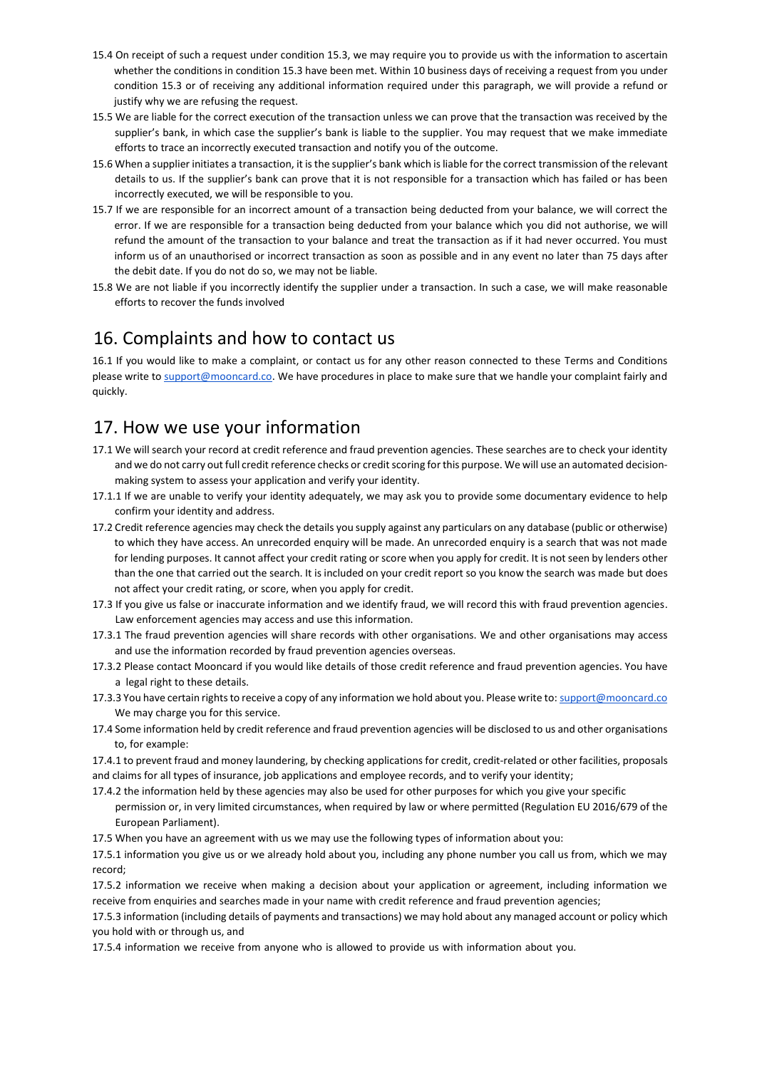- 15.4 On receipt of such a request under condition 15.3, we may require you to provide us with the information to ascertain whether the conditions in condition 15.3 have been met. Within 10 business days of receiving a request from you under condition 15.3 or of receiving any additional information required under this paragraph, we will provide a refund or justify why we are refusing the request.
- 15.5 We are liable for the correct execution of the transaction unless we can prove that the transaction was received by the supplier's bank, in which case the supplier's bank is liable to the supplier. You may request that we make immediate efforts to trace an incorrectly executed transaction and notify you of the outcome.
- 15.6 When a supplier initiates a transaction, it is the supplier's bank which is liable for the correct transmission of the relevant details to us. If the supplier's bank can prove that it is not responsible for a transaction which has failed or has been incorrectly executed, we will be responsible to you.
- 15.7 If we are responsible for an incorrect amount of a transaction being deducted from your balance, we will correct the error. If we are responsible for a transaction being deducted from your balance which you did not authorise, we will refund the amount of the transaction to your balance and treat the transaction as if it had never occurred. You must inform us of an unauthorised or incorrect transaction as soon as possible and in any event no later than 75 days after the debit date. If you do not do so, we may not be liable.
- 15.8 We are not liable if you incorrectly identify the supplier under a transaction. In such a case, we will make reasonable efforts to recover the funds involved

### 16. Complaints and how to contact us

16.1 If you would like to make a complaint, or contact us for any other reason connected to these Terms and Conditions please write t[o support@mooncard.co.](mailto:support@mooncard.co) We have procedures in place to make sure that we handle your complaint fairly and quickly.

### 17. How we use your information

- 17.1 We will search your record at credit reference and fraud prevention agencies. These searches are to check your identity and we do not carry out full credit reference checks or credit scoring for this purpose. We will use an automated decisionmaking system to assess your application and verify your identity.
- 17.1.1 If we are unable to verify your identity adequately, we may ask you to provide some documentary evidence to help confirm your identity and address.
- 17.2 Credit reference agencies may check the details you supply against any particulars on any database (public or otherwise) to which they have access. An unrecorded enquiry will be made. An unrecorded enquiry is a search that was not made for lending purposes. It cannot affect your credit rating or score when you apply for credit. It is not seen by lenders other than the one that carried out the search. It is included on your credit report so you know the search was made but does not affect your credit rating, or score, when you apply for credit.
- 17.3 If you give us false or inaccurate information and we identify fraud, we will record this with fraud prevention agencies. Law enforcement agencies may access and use this information.
- 17.3.1 The fraud prevention agencies will share records with other organisations. We and other organisations may access and use the information recorded by fraud prevention agencies overseas.
- 17.3.2 Please contact Mooncard if you would like details of those credit reference and fraud prevention agencies. You have a legal right to these details.
- 17.3.3 You have certain rights to receive a copy of any information we hold about you. Please write to[: support@mooncard.co](mailto:support@mooncard.co) We may charge you for this service.
- 17.4 Some information held by credit reference and fraud prevention agencies will be disclosed to us and other organisations to, for example:

17.4.1 to prevent fraud and money laundering, by checking applications for credit, credit-related or other facilities, proposals and claims for all types of insurance, job applications and employee records, and to verify your identity;

- 17.4.2 the information held by these agencies may also be used for other purposes for which you give your specific permission or, in very limited circumstances, when required by law or where permitted (Regulation EU 2016/679 of the
	- European Parliament).
- 17.5 When you have an agreement with us we may use the following types of information about you:

17.5.1 information you give us or we already hold about you, including any phone number you call us from, which we may record;

17.5.2 information we receive when making a decision about your application or agreement, including information we receive from enquiries and searches made in your name with credit reference and fraud prevention agencies;

17.5.3 information (including details of payments and transactions) we may hold about any managed account or policy which you hold with or through us, and

17.5.4 information we receive from anyone who is allowed to provide us with information about you.